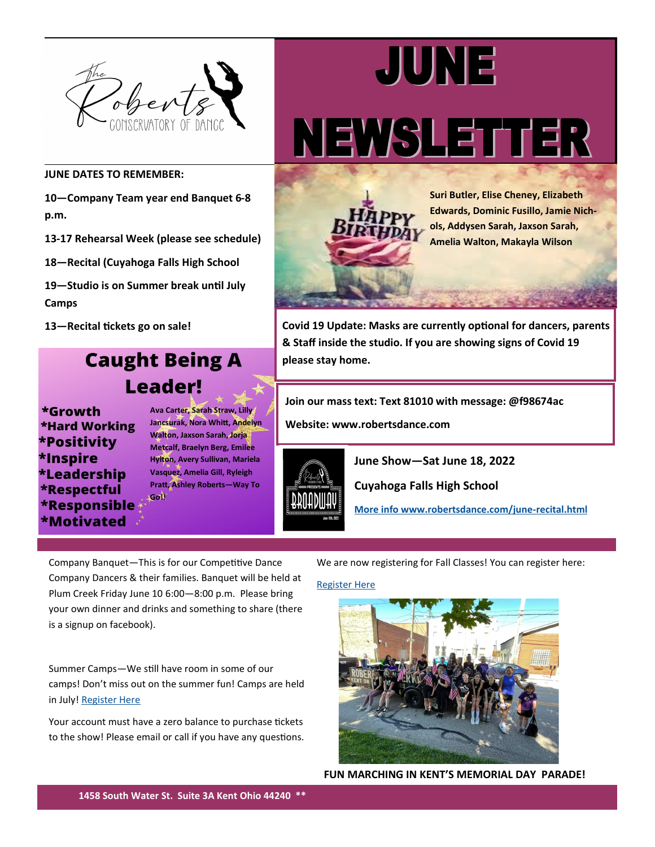

#### **JUNE DATES TO REMEMBER:**

**10—Company Team year end Banquet 6-8 p.m.** 

**13-17 Rehearsal Week (please see schedule)**

**18—Recital (Cuyahoga Falls High School**

**19—Studio is on Summer break until July Camps**

**13—Recital tickets go on sale!**

### **Caught Being A** Leader!

\*Growth **\*Hard Working** \*Positivity \*Inspire \*Leadership \*Respectful \*Responsible \*Motivated

**Ava Carter, Sarah Straw, Lilly Jancsurak, Nora Whitt, Andelyn Walton, Jaxson Sarah, Jorja Metcalf, Braelyn Berg, Emilee Hylton, Avery Sullivan, Mariela Vasquez, Amelia Gill, Ryleigh Pratt, Ashley Roberts—Way To Go!!**

## JUNE NEWSLETTER



**Suri Butler, Elise Cheney, Elizabeth Edwards, Dominic Fusillo, Jamie Nichols, Addysen Sarah, Jaxson Sarah, Amelia Walton, Makayla Wilson**

**Covid 19 Update: Masks are currently optional for dancers, parents & Staff inside the studio. If you are showing signs of Covid 19 please stay home.** 

**Join our mass text: Text 81010 with message: @f98674ac**

**Website: www.robertsdance.com** 



**June Show—Sat June 18, 2022**

**Cuyahoga Falls High School**

**[More info www.robertsdance.com/june](http://www.robertsdance.com/june-recital.html)-recital.html**

Company Banquet—This is for our Competitive Dance Company Dancers & their families. Banquet will be held at Plum Creek Friday June 10 6:00—8:00 p.m. Please bring your own dinner and drinks and something to share (there is a signup on facebook).

Summer Camps—We still have room in some of our camps! Don't miss out on the summer fun! Camps are held in July! [Register Here](http://www.robertsdance.com/2022-summer-camps.html)

Your account must have a zero balance to purchase tickets to the show! Please email or call if you have any questions. We are now registering for Fall Classes! You can register here:

#### [Register Here](http://www.robertsdance.com/fall-classes.html)



**FUN MARCHING IN KENT'S MEMORIAL DAY PARADE!**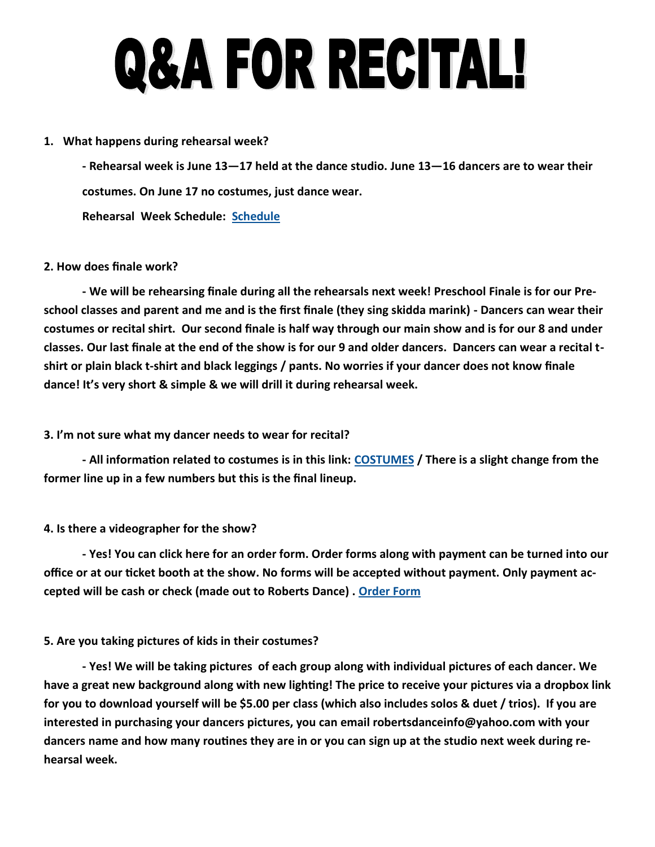# Q&A FOR RECITAL!

#### **1. What happens during rehearsal week?**

**- Rehearsal week is June 13—17 held at the dance studio. June 13—16 dancers are to wear their costumes. On June 17 no costumes, just dance wear. Rehearsal Week Schedule: [Schedule](http://nebula.wsimg.com/b9aff853888a40808c48b279bc79439a?AccessKeyId=E2A71EFF72F63C751D3F&disposition=0&alloworigin=1)**

#### **2. How does finale work?**

**- We will be rehearsing finale during all the rehearsals next week! Preschool Finale is for our Preschool classes and parent and me and is the first finale (they sing skidda marink) - Dancers can wear their costumes or recital shirt. Our second finale is half way through our main show and is for our 8 and under classes. Our last finale at the end of the show is for our 9 and older dancers. Dancers can wear a recital tshirt or plain black t-shirt and black leggings / pants. No worries if your dancer does not know finale dance! It's very short & simple & we will drill it during rehearsal week.**

#### **3. I'm not sure what my dancer needs to wear for recital?**

**- All information related to costumes is in this link: [COSTUMES](http://nebula.wsimg.com/caeee09b4c7fc6d6b7a34675a0fd7c05?AccessKeyId=E2A71EFF72F63C751D3F&disposition=0&alloworigin=1) / There is a slight change from the former line up in a few numbers but this is the final lineup.** 

#### **4. Is there a videographer for the show?**

**- Yes! You can click here for an order form. Order forms along with payment can be turned into our office or at our ticket booth at the show. No forms will be accepted without payment. Only payment accepted will be cash or check (made out to Roberts Dance) . [Order Form](http://nebula.wsimg.com/27944c8aaa09202a0bcd7aa4d17bff9b?AccessKeyId=E2A71EFF72F63C751D3F&disposition=0&alloworigin=1)**

#### **5. Are you taking pictures of kids in their costumes?**

**- Yes! We will be taking pictures of each group along with individual pictures of each dancer. We have a great new background along with new lighting! The price to receive your pictures via a dropbox link for you to download yourself will be \$5.00 per class (which also includes solos & duet / trios). If you are interested in purchasing your dancers pictures, you can email robertsdanceinfo@yahoo.com with your dancers name and how many routines they are in or you can sign up at the studio next week during rehearsal week.**